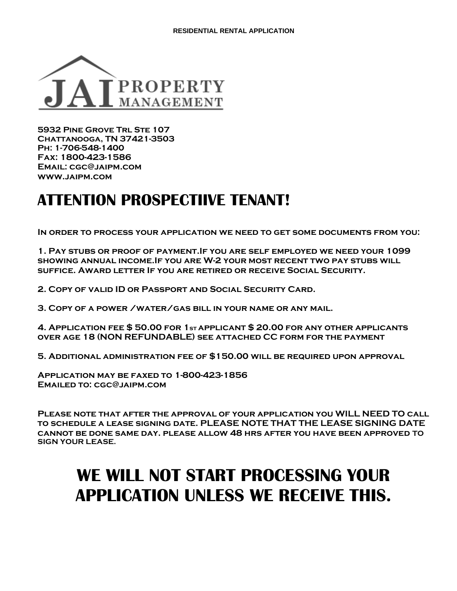

**5932 Pine Grove Trl Ste 107 Chattanooga, TN 37421-3503 Ph: 1-706-548-1400 Fax: 1800-423-1586 Email: cgc@jaipm.com www.jaipm.com** 

## **ATTENTION PROSPECTIIVE TENANT!**

**In order to process your application we need to get some documents from you:** 

**1. Pay stubs or proof of payment.If you are self employed we need your 1099 showing annual income.If you are W-2 your most recent two pay stubs will suffice. Award letter If you are retired or receive Social Security.** 

**2. Copy of valid ID or Passport and Social Security Card.** 

**3. Copy of a power /water/gas bill in your name or any mail.**

**4. Application fee \$ 50.00 for 1st applicant \$ 20.00 for any other applicants over age 18 (NON REFUNDABLE) see attached CC form for the payment**

**5. Additional administration fee of \$150.00 will be required upon approval**

**Application may be faxed to 1-800-423-1856 Emailed to: cgc@jaipm.com**

**Please note that after the approval of your application you WILL NEED TO call to schedule a lease signing date. PLEASE NOTE THAT THE LEASE SIGNING DATE cannot be done same day. please allow 48 hrs after you have been approved TO SIGN YOUR LEASE.**

# **WE WILL NOT START PROCESSING YOUR APPLICATION UNLESS WE RECEIVE THIS.**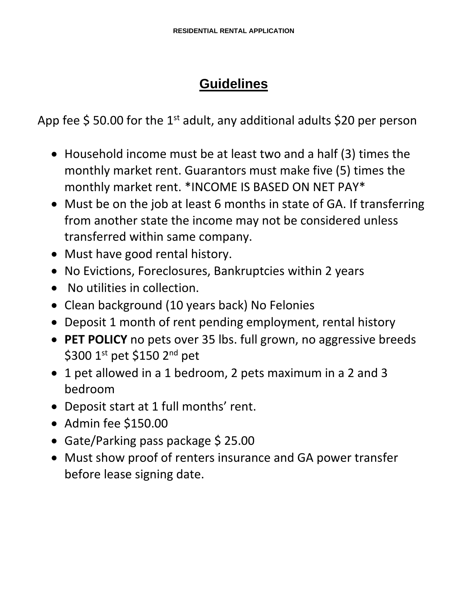## **Guidelines**

App fee  $\frac{2}{3}$  50.00 for the 1<sup>st</sup> adult, any additional adults  $\frac{20}{3}$  per person

- Household income must be at least two and a half (3) times the monthly market rent. Guarantors must make five (5) times the monthly market rent. \*INCOME IS BASED ON NET PAY\*
- Must be on the job at least 6 months in state of GA. If transferring from another state the income may not be considered unless transferred within same company.
- Must have good rental history.
- No Evictions, Foreclosures, Bankruptcies within 2 years
- No utilities in collection.
- Clean background (10 years back) No Felonies
- Deposit 1 month of rent pending employment, rental history
- **PET POLICY** no pets over 35 lbs. full grown, no aggressive breeds \$300 1st pet \$150 2<sup>nd</sup> pet
- 1 pet allowed in a 1 bedroom, 2 pets maximum in a 2 and 3 bedroom
- Deposit start at 1 full months' rent.
- Admin fee \$150.00
- Gate/Parking pass package \$ 25.00
- Must show proof of renters insurance and GA power transfer before lease signing date.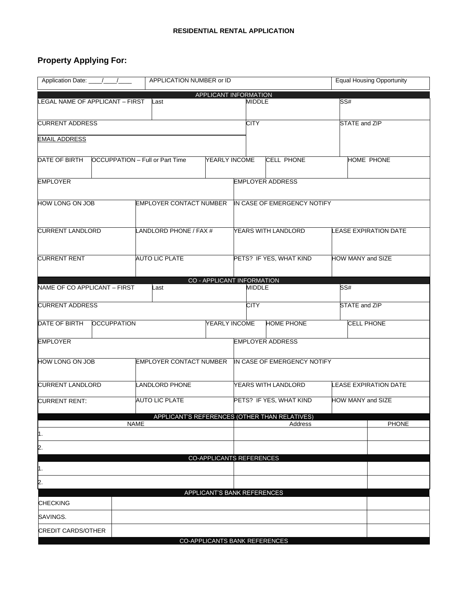### **Property Applying For:**

| Application Date: _                        | APPLICATION NUMBER or ID               |                                               | <b>Equal Housing Opportunity</b> |  |  |  |
|--------------------------------------------|----------------------------------------|-----------------------------------------------|----------------------------------|--|--|--|
| APPLICANT INFORMATION                      |                                        |                                               |                                  |  |  |  |
| LEGAL NAME OF APPLICANT - FIRST            | Last                                   | MIDDLE                                        | SS#                              |  |  |  |
| <b>CURRENT ADDRESS</b>                     |                                        | <b>CITY</b>                                   | STATE and ZIP                    |  |  |  |
| <b>EMAIL ADDRESS</b>                       |                                        |                                               |                                  |  |  |  |
| DATE OF BIRTH                              | <b>OCCUPPATION - Full or Part Time</b> | YEARLY INCOME<br><b>CELL PHONE</b>            | HOME PHONE                       |  |  |  |
| <b>EMPLOYER</b><br><b>EMPLOYER ADDRESS</b> |                                        |                                               |                                  |  |  |  |
| HOW LONG ON JOB                            | <b>EMPLOYER CONTACT NUMBER</b>         | IN CASE OF EMERGENCY NOTIFY                   |                                  |  |  |  |
| <b>CURRENT LANDLORD</b>                    | LANDLORD PHONE / FAX #                 | YEARS WITH LANDLORD                           | <b>LEASE EXPIRATION DATE</b>     |  |  |  |
| <b>CURRENT RENT</b>                        | <b>AUTO LIC PLATE</b>                  | PETS? IF YES, WHAT KIND                       | HOW MANY and SIZE                |  |  |  |
|                                            |                                        | CO - APPLICANT INFORMATION                    |                                  |  |  |  |
| NAME OF CO APPLICANT - FIRST               | Last                                   | <b>MIDDLE</b>                                 | SS#                              |  |  |  |
| <b>CURRENT ADDRESS</b>                     |                                        | <b>CITY</b>                                   | STATE and ZIP                    |  |  |  |
| DATE OF BIRTH<br><b>OCCUPPATION</b>        |                                        | <b>HOME PHONE</b><br>YEARLY INCOME            | <b>CELL PHONE</b>                |  |  |  |
| EMPLOYER                                   |                                        | <b>EMPLOYER ADDRESS</b>                       |                                  |  |  |  |
| HOW LONG ON JOB                            | EMPLOYER CONTACT NUMBER                | IN CASE OF EMERGENCY NOTIFY                   |                                  |  |  |  |
| <b>CURRENT LANDLORD</b>                    | LANDLORD PHONE                         | YEARS WITH LANDLORD                           | <b>LEASE EXPIRATION DATE</b>     |  |  |  |
| <b>CURRENT RENT:</b>                       | <b>AUTO LIC PLATE</b>                  | PETS? IF YES, WHAT KIND                       | HOW MANY and SIZE                |  |  |  |
|                                            |                                        | APPLICANT'S REFERENCES (OTHER THAN RELATIVES) |                                  |  |  |  |
|                                            | <b>NAME</b>                            | Address                                       | <b>PHONE</b>                     |  |  |  |
| 1.<br> 2.                                  |                                        |                                               |                                  |  |  |  |
|                                            |                                        | <b>CO-APPLICANTS REFERENCES</b>               |                                  |  |  |  |
| 1.                                         |                                        |                                               |                                  |  |  |  |
| 2.                                         |                                        |                                               |                                  |  |  |  |
| <b>CHECKING</b>                            |                                        | APPLICANT'S BANK REFERENCES                   |                                  |  |  |  |
| SAVINGS.                                   |                                        |                                               |                                  |  |  |  |
| <b>CREDIT CARDS/OTHER</b>                  |                                        |                                               |                                  |  |  |  |
|                                            |                                        | CO-APPLICANTS BANK REFERENCES                 |                                  |  |  |  |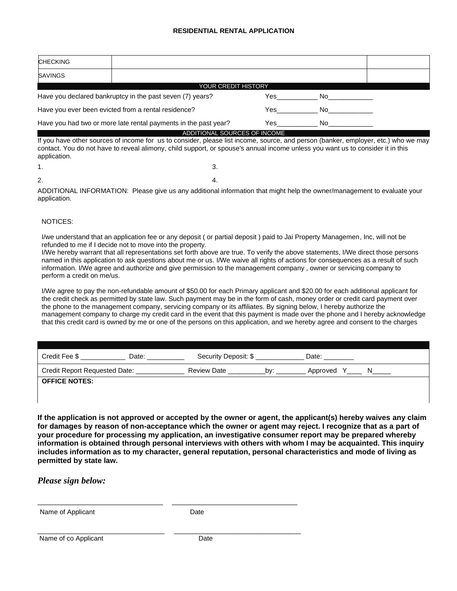| <b>CHECKING</b>                                                 |      |    |  |  |
|-----------------------------------------------------------------|------|----|--|--|
| SAVINGS                                                         |      |    |  |  |
| <b>YOUR CREDIT HISTORY</b>                                      |      |    |  |  |
| Have you declared bankruptcy in the past seven (7) years?       | 'es  | No |  |  |
| Have you ever been evicted from a rental residence?             | es / | Nο |  |  |
| Have you had two or more late rental payments in the past year? | Yes  | No |  |  |
| DITIONAL SOURCES OF INCOME                                      |      |    |  |  |

If you have other sources of income for us to consider, please list income, source, and person (banker, employer, etc.) who we may contact. You do not have to reveal alimony, child support, or spouse's annual income unless you want us to consider it in this application.

| 1. | $\overline{\mathbf{3}}$ |
|----|-------------------------|
| 2. | $\overline{\mathbf{A}}$ |

ADDITIONAL INFORMATION: Please give us any additional information that might help the owner/management to evaluate your application.

#### NOTICES:

I/we understand that an application fee or any deposit ( or partial deposit ) paid to Jai Property Managemen, Inc, will not be refunded to me if I decide not to move into the property.

I/We hereby warrant that all representations set forth above are true. To verify the above statements, I/We direct those persons named in this application to ask questions about me or us. I/We waive all rights of actions for consequences as a result of such information. I/We agree and authorize and give permission to the management company , owner or servicing company to perform a credit on me/us.

I/We agree to pay the non-refundable amount of \$50.00 for each Primary applicant and \$20.00 for each additional applicant for the credit check as permitted by state law. Such payment may be in the form of cash, money order or credit card payment over the phone to the management company, servicing company or its affiliates. By signing below, I hereby authorize the management company to charge my credit card in the event that this payment is made over the phone and I hereby acknowledge that this credit card is owned by me or one of the persons on this application, and we hereby agree and consent to the charges

| Credit Fee \$                        | Date: | Security Deposit: \$ |     | Date:    |
|--------------------------------------|-------|----------------------|-----|----------|
| <b>Credit Report Requested Date:</b> |       | <b>Review Date</b>   | bv: | Approved |
| <b>OFFICE NOTES:</b>                 |       |                      |     |          |

**If the application is not approved or accepted by the owner or agent, the applicant(s) hereby waives any claim for damages by reason of non-acceptance which the owner or agent may reject. I recognize that as a part of your procedure for processing my application, an investigative consumer report may be prepared whereby information is obtained through personal interviews with others with whom I may be acquainted. This inquiry includes information as to my character, general reputation, personal characteristics and mode of living as permitted by state law.**

*Please sign below:*

Name of Applicant Date

\_\_\_\_\_\_\_\_\_\_\_\_\_\_\_\_\_\_\_\_\_\_\_\_\_\_\_\_ \_\_\_\_\_\_\_\_\_\_\_\_\_\_\_\_\_\_\_\_\_\_\_\_\_\_\_\_

\_\_\_\_\_\_\_\_\_\_\_\_\_\_\_\_\_\_\_\_\_\_\_\_\_\_\_\_\_\_\_\_\_\_ \_\_\_\_\_\_\_\_\_\_\_\_\_\_\_\_\_\_\_\_\_\_\_\_\_\_\_\_\_\_\_\_\_\_ Name of co Applicant Date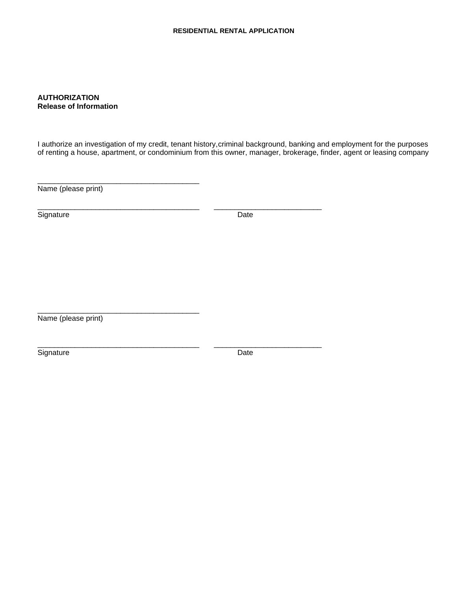#### **AUTHORIZATION Release of Information**

I authorize an investigation of my credit, tenant history,criminal background, banking and employment for the purposes of renting a house, apartment, or condominium from this owner, manager, brokerage, finder, agent or leasing company

\_\_\_\_\_\_\_\_\_\_\_\_\_\_\_\_\_\_\_\_\_\_\_\_\_\_\_\_\_\_\_\_\_\_\_\_\_\_\_ \_\_\_\_\_\_\_\_\_\_\_\_\_\_\_\_\_\_\_\_\_\_\_\_\_\_

\_\_\_\_\_\_\_\_\_\_\_\_\_\_\_\_\_\_\_\_\_\_\_\_\_\_\_\_\_\_\_\_\_\_\_\_\_\_\_ \_\_\_\_\_\_\_\_\_\_\_\_\_\_\_\_\_\_\_\_\_\_\_\_\_\_

Name (please print)

\_\_\_\_\_\_\_\_\_\_\_\_\_\_\_\_\_\_\_\_\_\_\_\_\_\_\_\_\_\_\_\_\_\_\_\_\_\_\_

Signature Date

\_\_\_\_\_\_\_\_\_\_\_\_\_\_\_\_\_\_\_\_\_\_\_\_\_\_\_\_\_\_\_\_\_\_\_\_\_\_\_ Name (please print)

Signature Date Date Date